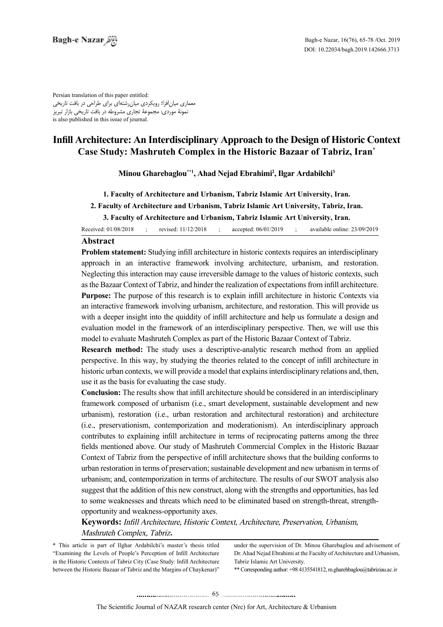Persian translation of this paper entitled: معماری میانافزا؛ رویکردی میانرشتهای برای طراحی در بافت تاریخی نمونۀ موردی: مجموعۀ تجاری مشروطه در بافت تاریخی بازار تبریز is also published in this issue of journal.

# **Infill Architecture: An Interdisciplinary Approach to the Design of Historic Context Case Study: Mashruteh Complex in the Historic Bazaar of Tabriz, Iran<sup>\*</sup>**

 $\bf{M}$ inou Gharebaglou\*\*1, Ahad  $\bf{N}$ ejad Ebrahimi<sup>2</sup>, Ilgar Ardabilchi<sup>3</sup>

1. Faculty of Architecture and Urbanism, Tabriz Islamic Art University, Iran.

2. Faculty of Architecture and Urbanism, Tabriz Islamic Art University, Tabriz, Iran.

**3. Faculty of Architecture and Urbanism, Tabriz Islamic Art University, Iran.** 

Received: 01/08/2018 ; revised: 11/12/2018 ; accepted: 06/01/2019 ; available online: 23/09/2019

## **Abstract**

**Problem statement:** Studying infill architecture in historic contexts requires an interdisciplinary approach in an interactive framework involving architecture, urbanism, and restoration. Neglecting this interaction may cause irreversible damage to the values of historic contexts, such as the Bazaar Context of Tabriz, and hinder the realization of expectations from infill architecture. **Purpose:** The purpose of this research is to explain infill architecture in historic Contexts via an interactive framework involving urbanism, architecture, and restoration. This will provide us with a deeper insight into the quiddity of infill architecture and help us formulate a design and evaluation model in the framework of an interdisciplinary perspective. Then, we will use this model to evaluate Mashruteh Complex as part of the Historic Bazaar Context of Tabriz.

**Research method:** The study uses a descriptive-analytic research method from an applied perspective. In this way, by studying the theories related to the concept of infill architecture in historic urban contexts, we will provide a model that explains interdisciplinary relations and, then, use it as the basis for evaluating the case study.

**Conclusion:** The results show that infill architecture should be considered in an interdisciplinary framework composed of urbanism (i.e., smart development, sustainable development and new urbanism), restoration (i.e., urban restoration and architectural restoration) and architecture (i.e., preservationism, contemporization and moderationism). An interdisciplinary approach contributes to explaining infill architecture in terms of reciprocating patterns among the three fields mentioned above. Our study of Mashruteh Commercial Complex in the Historic Bazaar Context of Tabriz from the perspective of infill architecture shows that the building conforms to urban restoration in terms of preservation; sustainable development and new urbanism in terms of urbanism; and, contemporization in terms of architecture. The results of our SWOT analysis also suggest that the addition of this new construct, along with the strengths and opportunities, has led to some weaknesses and threats which need to be eliminated based on strength-threat, strength-opportunity and weakness-opportunity axes.

Keywords: Infill Architecture, Historic Context, Architecture, Preservation, Urbanism, **Mashruteh Complex, Tabriz.** 

\* This article is part of Ilghar Ardabilchi's master's thesis titled "Examining the Levels of People's Perception of Infill Architecture in the Historic Contexts of Tabriz City (Case Study: Infill Architecture between the Historic Bazaar of Tabriz and the Margins of Chaykenar)" under the supervision of Dr. Minou Gharebaglou and advisement of Dr. Ahad Nejad Ebrahimi at the Faculty of Architecture and Urbanism, Tabriz Islamic Art University.

\*\* Corresponding author: +98 4135541812, m.gharehbaglou@tabriziau.ac.ir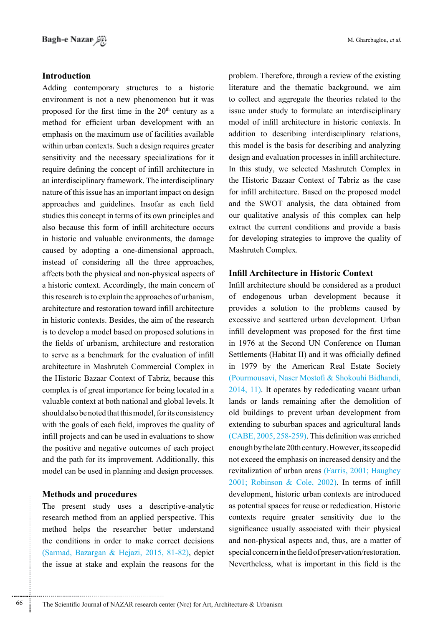## **Introduction**

Adding contemporary structures to a historic environment is not a new phenomenon but it was proposed for the first time in the  $20<sup>th</sup>$  century as a method for efficient urban development with an emphasis on the maximum use of facilities available within urban contexts. Such a design requires greater sensitivity and the necessary specializations for it require defining the concept of infill architecture in an interdisciplinary framework. The interdisciplinary nature of this issue has an important impact on design approaches and guidelines. Insofar as each field studies this concept in terms of its own principles and also because this form of infill architecture occurs in historic and valuable environments, the damage caused by adopting a one-dimensional approach, instead of considering all the three approaches, affects both the physical and non-physical aspects of a historic context. Accordingly, the main concern of this research is to explain the approaches of urbanism, architecture and restoration toward infill architecture in historic contexts. Besides, the aim of the research is to develop a model based on proposed solutions in the fields of urbanism, architecture and restoration to serve as a benchmark for the evaluation of infill architecture in Mashruteh Commercial Complex in the Historic Bazaar Context of Tabriz, because this complex is of great importance for being located in a valuable context at both national and global levels. It should also be noted that this model, for its consistency with the goals of each field, improves the quality of infill projects and can be used in evaluations to show the positive and negative outcomes of each project and the path for its improvement. Additionally, this model can be used in planning and design processes.

## **Methods and procedures**

The present study uses a descriptive-analytic research method from an applied perspective. This method helps the researcher better understand the conditions in order to make correct decisions (Sarmad, Bazargan & Hejazi, 2015, 81-82), depict the issue at stake and explain the reasons for the

problem. Therefore, through a review of the existing literature and the thematic background, we aim to collect and aggregate the theories related to the issue under study to formulate an interdisciplinary model of infill architecture in historic contexts. In addition to describing interdisciplinary relations, this model is the basis for describing and analyzing design and evaluation processes in infill architecture. In this study, we selected Mashruteh Complex in the Historic Bazaar Context of Tabriz as the case for infill architecture. Based on the proposed model and the SWOT analysis, the data obtained from our qualitative analysis of this complex can help extract the current conditions and provide a basis for developing strategies to improve the quality of Mashruteh Complex.

# **Infill Architecture in Historic Context**

Infill architecture should be considered as a product of endogenous urban development because it provides a solution to the problems caused by excessive and scattered urban development. Urban infill development was proposed for the first time in 1976 at the Second UN Conference on Human Settlements (Habitat II) and it was officially defined in 1979 by the American Real Estate Society (Pourmousavi, Naser Mostofi & Shokouhi Bidhandi,  $2014$ , 11). It operates by rededicating vacant urban lands or lands remaining after the demolition of old buildings to prevent urban development from extending to suburban spaces and agricultural lands  $(CABE, 2005, 258-259)$ . This definition was enriched enough by the late 20th century. However, its scope did not exceed the emphasis on increased density and the revitalization of urban areas (Farris, 2001; Haughey  $2001$ ; Robinson & Cole, 2002). In terms of infill development, historic urban contexts are introduced as potential spaces for reuse or rededication. Historic contexts require greater sensitivity due to the significance usually associated with their physical and non-physical aspects and, thus, are a matter of special concern in the field of preservation/restoration. Nevertheless, what is important in this field is the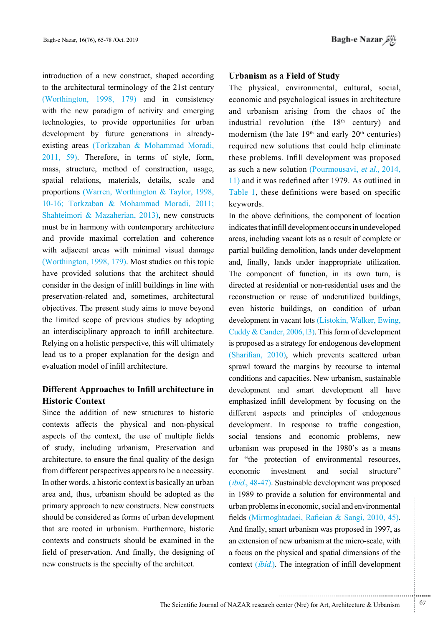introduction of a new construct, shaped according to the architectural terminology of the 21st century (Worthington,  $1998$ ,  $179$ ) and in consistency with the new paradigm of activity and emerging technologies, to provide opportunities for urban existing areas (Torkzaban & Mohammad Moradi, development by future generations in already- $2011, 59$ . Therefore, in terms of style, form, mass, structure, method of construction, usage, spatial relations, materials, details, scale and proportions (Warren, Worthington  $& Taylor, 1998,$ 10-16; Torkzaban & Mohammad Moradi, 2011; Shahteimori & Mazaherian, 2013), new constructs must be in harmony with contemporary architecture and provide maximal correlation and coherence with adjacent areas with minimal visual damage (Worthington, 1998, 179). Most studies on this topic have provided solutions that the architect should consider in the design of infill buildings in line with preservation-related and, sometimes, architectural objectives. The present study aims to move beyond the limited scope of previous studies by adopting an interdisciplinary approach to infill architecture. Relying on a holistic perspective, this will ultimately lead us to a proper explanation for the design and evaluation model of infill architecture

# **Different Approaches to Infill architecture in Historic Context**

Since the addition of new structures to historic contexts affects the physical and non-physical aspects of the context, the use of multiple fields of study, including urbanism, Preservation and architecture, to ensure the final quality of the design from different perspectives appears to be a necessity. In other words, a historic context is basically an urban area and, thus, urbanism should be adopted as the primary approach to new constructs. New constructs should be considered as forms of urban development that are rooted in urbanism. Furthermore, historic contexts and constructs should be examined in the field of preservation. And finally, the designing of new constructs is the specialty of the architect.

## **Urbanism as a Field of Study**

The physical, environmental, cultural, social, economic and psychological issues in architecture and urbanism arising from the chaos of the industrial revolution (the  $18<sup>th</sup>$  century) and modernism (the late  $19<sup>th</sup>$  and early  $20<sup>th</sup>$  centuries) required new solutions that could help eliminate these problems. Infill development was proposed as such a new solution (Pourmousavi, et al.,  $2014$ ,  $\left( \frac{11}{11} \right)$  and it was redefined after 1979. As outlined in Table 1, these definitions were based on specific keywords.

In the above definitions, the component of location indicates that infill development occurs in undeveloped areas, including vacant lots as a result of complete or partial building demolition, lands under development and, finally, lands under inappropriate utilization. The component of function, in its own turn, is directed at residential or non-residential uses and the reconstruction or reuse of underutilized buildings, even historic buildings, on condition of urban development in vacant lots (Listokin, Walker, Ewing, Cuddy & Cander,  $2006$ , 13). This form of development is proposed as a strategy for endogenous development (Sharifian,  $2010$ ), which prevents scattered urban sprawl toward the margins by recourse to internal conditions and capacities. New urbanism, sustainable development and smart development all have emphasized infill development by focusing on the different aspects and principles of endogenous development. In response to traffic congestion, social tensions and economic problems, new urbanism was proposed in the 1980's as a means for "the protection of environmental resources, economic investment and social structure"  $(ibid., 48-47)$ . Sustainable development was proposed in 1989 to provide a solution for environmental and urban problems in economic, social and environmental fields (Mirmoghtadaei, Rafieian & Sangi, 2010, 45). And finally, smart urbanism was proposed in 1997, as an extension of new urbanism at the micro-scale, with a focus on the physical and spatial dimensions of the context *(ibid.)*. The integration of infill development

...........................................................

.......... ....... ........ ........... ...... ....... ........ .......... ...........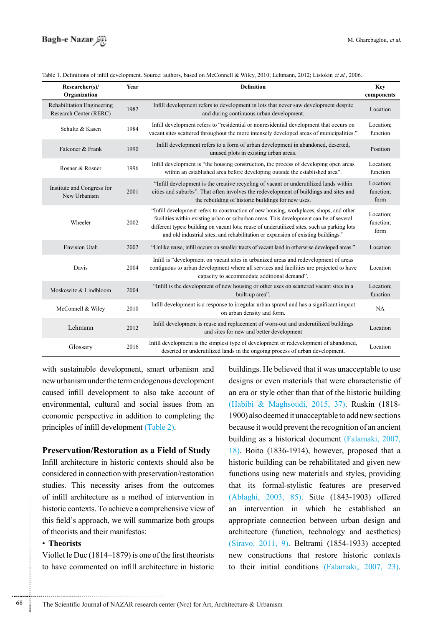| Researcher(s)/<br>Organization                       | Year | <b>Definition</b>                                                                                                                                                                                                                                                                                                                                                      |                                |
|------------------------------------------------------|------|------------------------------------------------------------------------------------------------------------------------------------------------------------------------------------------------------------------------------------------------------------------------------------------------------------------------------------------------------------------------|--------------------------------|
| Rehabilitation Engineering<br>Research Center (RERC) | 1982 | Infill development refers to development in lots that never saw development despite<br>and during continuous urban development.                                                                                                                                                                                                                                        | Location                       |
| Schultz & Kasen                                      | 1984 | Infill development refers to "residential or nonresidential development that occurs on<br>vacant sites scattered throughout the more intensely developed areas of municipalities."                                                                                                                                                                                     | Location:<br>function          |
| Falconer & Frank                                     | 1990 | Infill development refers to a form of urban development in abandoned, deserted,<br>unused plots in existing urban areas.                                                                                                                                                                                                                                              | Position                       |
| Rosner & Rosner                                      | 1996 | Infill development is "the housing construction, the process of developing open areas<br>within an established area before developing outside the established area".                                                                                                                                                                                                   | Location;<br>function          |
| Institute and Congress for<br>New Urbanism           | 2001 | "Infill development is the creative recycling of vacant or underutilized lands within<br>cities and suburbs". That often involves the redevelopment of buildings and sites and<br>the rebuilding of historic buildings for new uses.                                                                                                                                   | Location:<br>function;<br>form |
| Wheeler                                              | 2002 | "Infill development refers to construction of new housing, workplaces, shops, and other<br>facilities within existing urban or suburban areas. This development can be of several<br>different types: building on vacant lots; reuse of underutilized sites, such as parking lots<br>and old industrial sites; and rehabilitation or expansion of existing buildings." | Location;<br>function:<br>form |
| <b>Envision Utah</b>                                 | 2002 | "Unlike reuse, infill occurs on smaller tracts of vacant land in otherwise developed areas."                                                                                                                                                                                                                                                                           | Location                       |
| Davis                                                | 2004 | Infill is "development on vacant sites in urbanized areas and redevelopment of areas<br>contiguous to urban development where all services and facilities are projected to have<br>capacity to accommodate additional demand".                                                                                                                                         | Location                       |
| Moskowitz & Lindbloom                                | 2004 | "Infill is the development of new housing or other uses on scattered vacant sites in a<br>built-up area".                                                                                                                                                                                                                                                              | Location:<br>function          |
| McConnell & Wiley                                    | 2010 | Infill development is a response to irregular urban sprawl and has a significant impact<br>on urban density and form.                                                                                                                                                                                                                                                  | NA                             |
| Lehmann                                              | 2012 | Infill development is reuse and replacement of worn-out and underutilized buildings<br>and sites for new and better development                                                                                                                                                                                                                                        | Location                       |
| Glossary                                             | 2016 | Infill development is the simplest type of development or redevelopment of abandoned,<br>deserted or underutilized lands in the ongoing process of urban development.                                                                                                                                                                                                  | Location                       |

Table 1. Definitions of infill development. Source: authors, based on McConnell & Wiley, 2010; Lehmann, 2012; Listokin et al., 2006.

with sustainable development, smart urbanism and new urbanism under the term endogenous development caused infill development to also take account of environmental, cultural and social issues from an economic perspective in addition to completing the principles of infill development (Table 2).

#### **Preservation/Restoration as a Field of Study**

Infill architecture in historic contexts should also be considered in connection with preservation/restoration studies. This necessity arises from the outcomes of infill architecture as a method of intervention in historic contexts. To achieve a comprehensive view of this field's approach, we will summarize both groups of theorists and their manifestos:

# **Theorists**•

Viollet le Duc  $(1814–1879)$  is one of the first theorists to have commented on infill architecture in historic

buildings. He believed that it was unacceptable to use designs or even materials that were characteristic of an era or style other than that of the historic building (Habibi & Maghsoudi, 2015, 37). Ruskin (1818-1900) also deemed it unacceptable to add new sections because it would prevent the recognition of an ancient building as a historical document (Falamaki, 2007, 18). Boito  $(1836-1914)$ , however, proposed that a historic building can be rehabilitated and given new functions using new materials and styles, providing that its formal-stylistic features are preserved (Ablaghi, 2003, 85). Sitte (1843-1903) offered an intervention in which he established an appropriate connection between urban design and architecture (function, technology and aesthetics)  $(Siravo, 2011, 9)$ . Beltrami  $(1854-1933)$  accepted new constructions that restore historic contexts to their initial conditions  $(Falamaki, 2007, 23)$ .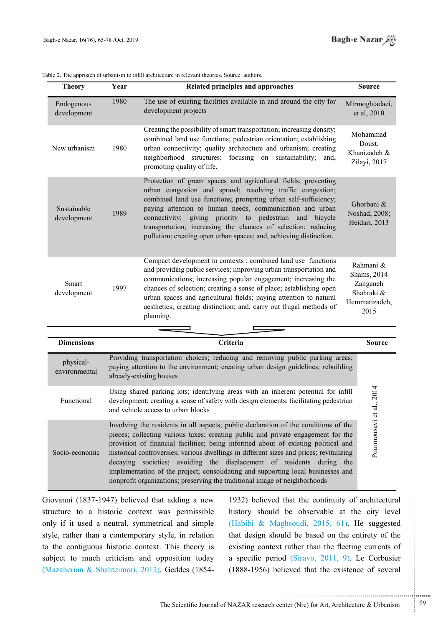| Table 2. The approach of urbanism to infill architecture in relevant theories. Source: authors. |  |
|-------------------------------------------------------------------------------------------------|--|
|-------------------------------------------------------------------------------------------------|--|

| <b>Theory</b>              | Year | Related principles and approaches                                                                                                                                                                                                                                                                                                                                                                                                                               | <b>Source</b>                                                               |
|----------------------------|------|-----------------------------------------------------------------------------------------------------------------------------------------------------------------------------------------------------------------------------------------------------------------------------------------------------------------------------------------------------------------------------------------------------------------------------------------------------------------|-----------------------------------------------------------------------------|
| Endogenous<br>development  | 1980 | The use of existing facilities available in and around the city for<br>development projects                                                                                                                                                                                                                                                                                                                                                                     | Mirmoghtadaei,<br>et al, 2010                                               |
| New urbanism               | 1980 | Creating the possibility of smart transportation; increasing density;<br>combined land use functions; pedestrian orientation; establishing<br>urban connectivity; quality architecture and urbanism; creating<br>neighborhood structures; focusing on sustainability;<br>and.<br>promoting quality of life.                                                                                                                                                     | Mohammad<br>Doust,<br>Khanizadeh &<br>Zilayi, 2017                          |
| Sustainable<br>development | 1989 | Protection of green spaces and agricultural fields; preventing<br>urban congestion and sprawl; resolving traffic congestion;<br>combined land use functions; prompting urban self-sufficiency;<br>paying attention to human needs, communication and urban<br>connectivity; giving priority to pedestrian and<br>bicycle<br>transportation; increasing the chances of selection; reducing<br>pollution; creating open urban spaces; and, achieving distinction. | Ghorbani &<br>Noshad, 2008;<br>Heidari, 2013                                |
| Smart<br>development       | 1997 | Compact development in contexts; combined land use functions<br>and providing public services; improving urban transportation and<br>communications; increasing popular engagement; increasing the<br>chances of selection; creating a sense of place; establishing open<br>urban spaces and agricultural fields; paying attention to natural<br>aesthetics; creating distinction; and, carry out frugal methods of<br>planning.                                | Rahmani &<br>Shams, 2014<br>Zanganeh<br>Shahraki &<br>Hemmatizadeh,<br>2015 |
|                            |      |                                                                                                                                                                                                                                                                                                                                                                                                                                                                 |                                                                             |
| <b>Dimensions</b>          |      | $C$ ritaria                                                                                                                                                                                                                                                                                                                                                                                                                                                     | $S_{\text{outrea}}$                                                         |

| <b>Dimensions</b>          | <b>Criteria</b>                                                                                                                                                                                                                                                                                                                                                                                                                                                                                                                                                                                    |                          |  |
|----------------------------|----------------------------------------------------------------------------------------------------------------------------------------------------------------------------------------------------------------------------------------------------------------------------------------------------------------------------------------------------------------------------------------------------------------------------------------------------------------------------------------------------------------------------------------------------------------------------------------------------|--------------------------|--|
| physical-<br>environmental | Providing transportation choices; reducing and removing public parking areas;<br>paying attention to the environment; creating urban design guidelines; rebuilding<br>already-existing houses                                                                                                                                                                                                                                                                                                                                                                                                      |                          |  |
| Functional                 | Using shared parking lots; identifying areas with an inherent potential for infill<br>development; creating a sense of safety with design elements; facilitating pedestrian<br>and vehicle access to urban blocks                                                                                                                                                                                                                                                                                                                                                                                  |                          |  |
| Socio-economic             | Involving the residents in all aspects; public declaration of the conditions of the<br>pieces; collecting various taxes; creating public and private engagement for the<br>provision of financial facilities; being informed about of existing political and<br>historical controversies; various dwellings in different sizes and prices; revitalizing<br>decaying societies; avoiding the displacement of residents during the<br>implementation of the project; consolidating and supporting local businesses and<br>nonprofit organizations; preserving the traditional image of neighborhoods | Pourmousavi et al., 2014 |  |

Giovanni (1837-1947) believed that adding a new structure to a historic context was permissible only if it used a neutral, symmetrical and simple style, rather than a contemporary style, in relation to the contiguous historic context. This theory is subject to much criticism and opposition today (Mazaherian & Shahteimori, 2012). Geddes (1854-

1932) believed that the continuity of architectural history should be observable at the city level (Habibi & Maghsoudi, 2015, 61). He suggested that design should be based on the entirety of the existing context rather than the fleeting currents of a specific period  $(Siravo, 2011, 9)$ . Le Corbusier  $(1888-1956)$  believed that the existence of several

.......... ....... ........ ........... ...... ....... ........ .......... ...........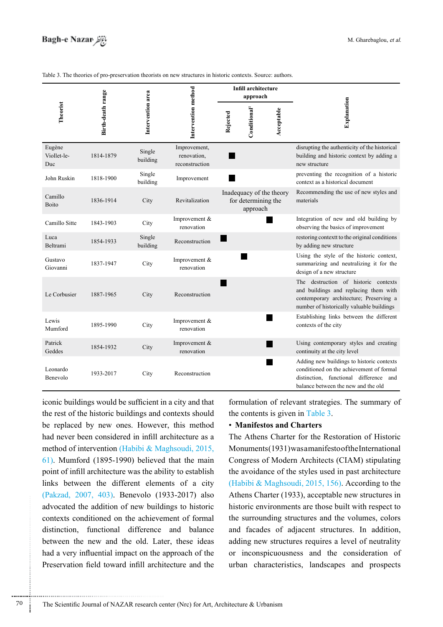|                              |                   |                    | Intervention method                           | <b>Infill architecture</b><br>approach |                                 |                          |                                                                                                                                                                        |
|------------------------------|-------------------|--------------------|-----------------------------------------------|----------------------------------------|---------------------------------|--------------------------|------------------------------------------------------------------------------------------------------------------------------------------------------------------------|
| Theorist                     | Birth-death range | Intervention area  |                                               | Rejected                               | Conditional <sup>1</sup>        | Acceptable               | Explanation                                                                                                                                                            |
| Eugène<br>Viollet-le-<br>Duc | 1814-1879         | Single<br>building | Improvement,<br>renovation,<br>reconstruction |                                        |                                 |                          | disrupting the authenticity of the historical<br>building and historic context by adding a<br>new structure                                                            |
| John Ruskin                  | 1818-1900         | Single<br>building | Improvement                                   |                                        |                                 |                          | preventing the recognition of a historic<br>context as a historical document                                                                                           |
| Camillo<br><b>Boito</b>      | 1836-1914         | City               | Revitalization                                |                                        | for determining the<br>approach | Inadequacy of the theory | Recommending the use of new styles and<br>materials                                                                                                                    |
| Camillo Sitte                | 1843-1903         | City               | Improvement &<br>renovation                   |                                        |                                 |                          | Integration of new and old building by<br>observing the basics of improvement                                                                                          |
| Luca<br>Beltrami             | 1854-1933         | Single<br>building | Reconstruction                                |                                        |                                 |                          | restoring context to the original conditions<br>by adding new structure                                                                                                |
| Gustavo<br>Giovanni          | 1837-1947         | City               | Improvement &<br>renovation                   |                                        |                                 |                          | Using the style of the historic context,<br>summarizing and neutralizing it for the<br>design of a new structure                                                       |
| Le Corbusier                 | 1887-1965         | City               | Reconstruction                                |                                        |                                 |                          | The destruction of historic contexts<br>and buildings and replacing them with<br>contemporary architecture; Preserving a<br>number of historically valuable buildings  |
| Lewis<br>Mumford             | 1895-1990         | City               | Improvement &<br>renovation                   |                                        |                                 |                          | Establishing links between the different<br>contexts of the city                                                                                                       |
| Patrick<br>Geddes            | 1854-1932         | City               | Improvement &<br>renovation                   |                                        |                                 |                          | Using contemporary styles and creating<br>continuity at the city level                                                                                                 |
| Leonardo<br>Benevolo         | 1933-2017         | City               | Reconstruction                                |                                        |                                 |                          | Adding new buildings to historic contexts<br>conditioned on the achievement of formal<br>distinction, functional difference and<br>balance between the new and the old |

iconic buildings would be sufficient in a city and that the rest of the historic buildings and contexts should be replaced by new ones. However, this method had never been considered in infill architecture as a method of intervention (Habibi & Maghsoudi, 2015,  $61$ ). Mumford (1895-1990) believed that the main point of infill architecture was the ability to establish links between the different elements of a city (Pakzad, 2007, 403). Benevolo (1933-2017) also advocated the addition of new buildings to historic contexts conditioned on the achievement of formal distinction, functional difference and balance between the new and the old. Later, these ideas had a very influential impact on the approach of the Preservation field toward infill architecture and the

formulation of relevant strategies. The summary of the contents is given in Table 3.

#### **• Manifestos and Charters**

The Athens Charter for the Restoration of Historic  $Monuments(1931) was a manifest of the International$ Congress of Modern Architects (CIAM) stipulating the avoidance of the styles used in past architecture (Habibi & Maghsoudi, 2015, 156). According to the Athens Charter (1933), acceptable new structures in historic environments are those built with respect to the surrounding structures and the volumes, colors and facades of adjacent structures. In addition, adding new structures requires a level of neutrality or inconspicuousness and the consideration of urban characteristics, landscapes and prospects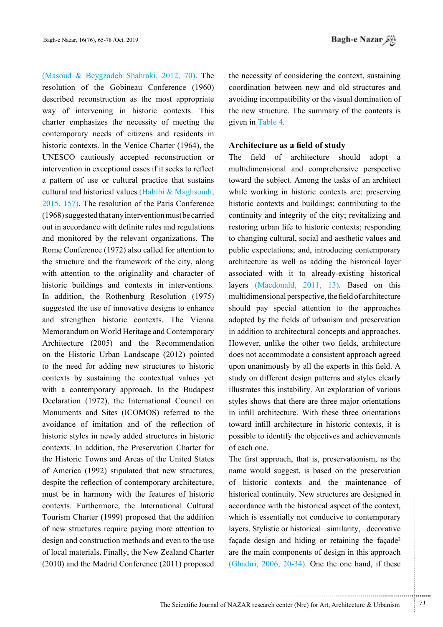(Masoud & Beygzadeh Shahraki, 2012, 70). The resolution of the Gobineau Conference (1960) described reconstruction as the most appropriate way of intervening in historic contexts. This charter emphasizes the necessity of meeting the contemporary needs of citizens and residents in historic contexts. In the Venice Charter (1964), the UNESCO cautiously accepted reconstruction or intervention in exceptional cases if it seeks to reflect a pattern of use or cultural practice that sustains cultural and historical values (Habibi  $\&$  Maghsoudi,  $2015$ ,  $157$ ). The resolution of the Paris Conference  $(1968)$  suggested that any intervention must be carried out in accordance with definite rules and regulations and monitored by the relevant organizations. The Rome Conference  $(1972)$  also called for attention to the structure and the framework of the city, along with attention to the originality and character of historic buildings and contexts in interventions. In addition, the Rothenburg Resolution (1975) suggested the use of innovative designs to enhance and strengthen historic contexts. The Vienna Memorandum on World Heritage and Contemporary Architecture (2005) and the Recommendation on the Historic Urban Landscape (2012) pointed to the need for adding new structures to historic contexts by sustaining the contextual values yet with a contemporary approach. In the Budapest Declaration (1972), the International Council on Monuments and Sites (ICOMOS) referred to the avoidance of imitation and of the reflection of historic styles in newly added structures in historic contexts. In addition, the Preservation Charter for the Historic Towns and Areas of the United States of America  $(1992)$  stipulated that new structures, despite the reflection of contemporary architecture, must be in harmony with the features of historic contexts. Furthermore, the International Cultural Tourism Charter (1999) proposed that the addition of new structures require paying more attention to design and construction methods and even to the use of local materials. Finally, the New Zealand Charter  $(2010)$  and the Madrid Conference  $(2011)$  proposed

the necessity of considering the context, sustaining coordination between new and old structures and avoiding incompatibility or the visual domination of the new structure. The summary of the contents is given in Table 4.

### **Architecture** as a field of study

The field of architecture should adopt a multidimensional and comprehensive perspective toward the subject. Among the tasks of an architect while working in historic contexts are: preserving historic contexts and buildings; contributing to the continuity and integrity of the city; revitalizing and restoring urban life to historic contexts; responding to changing cultural, social and aesthetic values and public expectations; and, introducing contemporary architecture as well as adding the historical layer associated with it to already-existing historical layers  $(Macdonald, 2011, 13)$ . Based on this multidimensional perspective, the field of architecture should pay special attention to the approaches adopted by the fields of urbanism and preservation in addition to architectural concepts and approaches. However, unlike the other two fields, architecture does not accommodate a consistent approach agreed upon unanimously by all the experts in this field. A study on different design patterns and styles clearly illustrates this instability. An exploration of various styles shows that there are three major orientations in infill architecture. With these three orientations toward infill architecture in historic contexts, it is possible to identify the objectives and achievements of each one

The first approach, that is, preservationism, as the name would suggest, is based on the preservation of historic contexts and the maintenance of historical continuity. New structures are designed in accordance with the historical aspect of the context, which is essentially not conducive to contemporary layers. Stylistic or historical similarity, decorative façade design and hiding or retaining the façade<sup>2</sup> are the main components of design in this approach (Ghadiri,  $2006$ ,  $20-34$ ). One the one hand, if these

.......... ....... ........ ........... ...... ....... ........ .......... ...........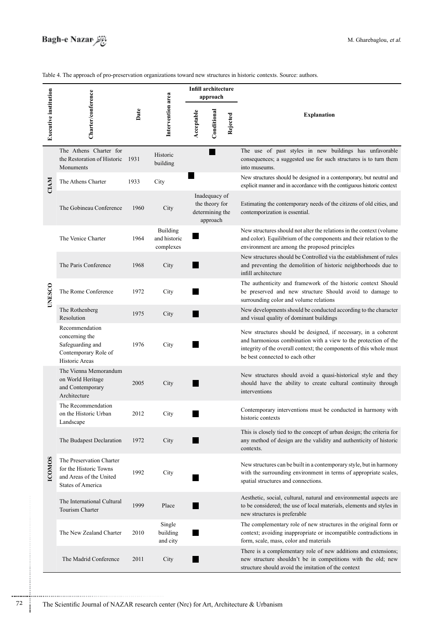**Infill** architecture **Executive institution<br>Charter/conference<br>Date**<br>**Date**<br>Intervention area **approach** Conditional **Conditional** Acceptable **Acceptable Explanation Rejected** The Athens Charter for The use of past styles in new buildings has unfavorable × Historicconsequences; a suggested use for such structures is to turn them the Restoration of Historic 1931 building Monuments into museums New structures should be designed in a contemporary, but neutral and **CIAM** The Athens Charter 1933 City explicit manner and in accordance with the contiguous historic context Inadequacy of the theory for Estimating the contemporary needs of the citizens of old cities, and The Gobineau Conference 1960 City determining the contemporization is essential. approach Building New structures should not alter the relations in the context (volume The Venice Charter 1964 and historic and color). Equilibrium of the components and their relation to the complexes environment are among the proposed principles New structures should be Controlled via the establishment of rules The Paris Conference 1968 City and preventing the demolition of historic neighborhoods due to infill architecture The authenticity and framework of the historic context Should **UNESCO UNESCO** The Rome Conference 1972 City be preserved and new structure Should avoid to damage to surrounding color and volume relations New developments should be conducted according to the character The Rothenberg 1975 City Resolution and visual quality of dominant buildings Recommendation New structures should be designed, if necessary, in a coherent concerning the and harmonious combination with a view to the protection of the Safeguarding and 1976 City integrity of the overall context; the components of this whole must Contemporary Role of be best connected to each other Historic Areas The Vienna Memorandum New structures should avoid a quasi-historical style and they on World Heritage 2005 City should have the ability to create cultural continuity through and Contemporary interventions Architecture The Recommendation Contemporary interventions must be conducted in harmony with on the Historic Urban 2012 City historic contexts Landscape This is closely tied to the concept of urban design; the criteria for The Budapest Declaration 1972 City any method of design are the validity and authenticity of historic .contexts The Preservation Charter COMOS **ICOMOS** New structures can be built in a contemporary style, but in harmony for the Historic Towns 1992 City with the surrounding environment in terms of appropriate scales, and Areas of the United spatial structures and connections. **States of America** Aesthetic, social, cultural, natural and environmental aspects are The International Cultural 1999 Place to be considered; the use of local materials, elements and styles in Tourism Charter new structures is preferable Single The complementary role of new structures in the original form or The New Zealand Charter 2010 building E context; avoiding inappropriate or incompatible contradictions in and city form, scale, mass, color and materials There is a complementary role of new additions and extensions; The Madrid Conference 2011 City new structure shouldn't be in competitions with the old; new structure should avoid the imitation of the context

Table 4. The approach of pro-preservation organizations toward new structures in historic contexts. Source: authors.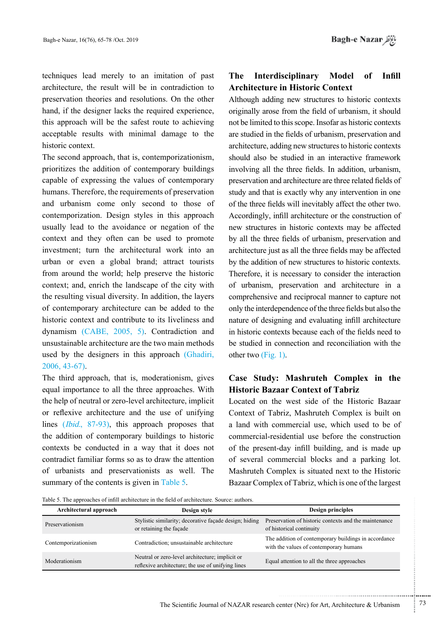techniques lead merely to an imitation of past architecture, the result will be in contradiction to preservation theories and resolutions. On the other hand, if the designer lacks the required experience, this approach will be the safest route to achieving acceptable results with minimal damage to the historic context.

The second approach, that is, contemporizationism, prioritizes the addition of contemporary buildings capable of expressing the values of contemporary humans. Therefore, the requirements of preservation and urbanism come only second to those of contemporization. Design styles in this approach usually lead to the avoidance or negation of the context and they often can be used to promote investment; turn the architectural work into an urban or even a global brand; attract tourists from around the world: help preserve the historic context; and, enrich the landscape of the city with the resulting visual diversity. In addition, the layers of contemporary architecture can be added to the historic context and contribute to its liveliness and dynamism  $(CABE, 2005, 5)$ . Contradiction and unsustainable architecture are the two main methods used by the designers in this approach (Ghadiri,  $2006, 43-67$ .

The third approach, that is, moderationism, gives equal importance to all the three approaches. With the help of neutral or zero-level architecture, implicit or reflexive architecture and the use of unifying lines  $(Ibid., 87-93)$ , this approach proposes that the addition of contemporary buildings to historic contexts be conducted in a way that it does not contradict familiar forms so as to draw the attention of urbanists and preservationists as well. The summary of the contents is given in Table 5.

# **The Interdisciplinary Model of Infill Architecture in Historic Context**

Although adding new structures to historic contexts originally arose from the field of urbanism, it should not be limited to this scope. Insofar as historic contexts are studied in the fields of urbanism, preservation and architecture, adding new structures to historic contexts should also be studied in an interactive framework involving all the three fields. In addition, urbanism, preservation and architecture are three related fields of study and that is exactly why any intervention in one of the three fields will inevitably affect the other two. Accordingly, infill architecture or the construction of new structures in historic contexts may be affected by all the three fields of urbanism, preservation and architecture just as all the three fields may be affected by the addition of new structures to historic contexts. Therefore, it is necessary to consider the interaction of urbanism, preservation and architecture in a comprehensive and reciprocal manner to capture not only the interdependence of the three fields but also the nature of designing and evaluating infill architecture in historic contexts because each of the fields need to be studied in connection and reconciliation with the other two  $(Fig. 1)$ .

# **Case Study: Mashruteh Complex in the Historic Bazaar Context of Tabriz**

Located on the west side of the Historic Bazaar Context of Tabriz, Mashruteh Complex is built on a land with commercial use, which used to be of commercial-residential use before the construction of the present-day infill building, and is made up of several commercial blocks and a parking lot. Mashruteh Complex is situated next to the Historic Bazaar Complex of Tabriz, which is one of the largest

Table 5. The approaches of infill architecture in the field of architecture. Source: authors.

| Architectural approach | Design style                                                                                         | Design principles                                                                              |  |
|------------------------|------------------------------------------------------------------------------------------------------|------------------------------------------------------------------------------------------------|--|
| Preservationism        | Stylistic similarity; decorative façade design; hiding<br>or retaining the façade                    | Preservation of historic contexts and the maintenance<br>of historical continuity              |  |
| Contemporizationism    | Contradiction; unsustainable architecture                                                            | The addition of contemporary buildings in accordance<br>with the values of contemporary humans |  |
| Moderationism          | Neutral or zero-level architecture; implicit or<br>reflexive architecture; the use of unifying lines | Equal attention to all the three approaches                                                    |  |

...........................................................

.......... ....... ........ ........... ...... ....... ........ .......... ...........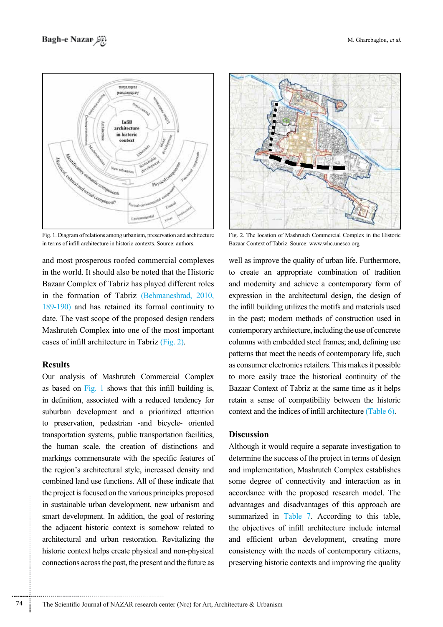

Fig. 1. Diagram of relations among urbanism, preservation and architecture in terms of infill architecture in historic contexts. Source: authors.

and most prosperous roofed commercial complexes in the world. It should also be noted that the Historic Bazaar Complex of Tabriz has played different roles in the formation of Tabriz (Behmaneshrad, 2010,  $189-190$ ) and has retained its formal continuity to date. The vast scope of the proposed design renders Mashruteh Complex into one of the most important cases of infill architecture in Tabriz  $(Fig. 2)$ .

### **Results**

Our analysis of Mashruteh Commercial Complex as based on Fig. 1 shows that this infill building is, in definition, associated with a reduced tendency for suburban development and a prioritized attention to preservation, pedestrian -and bicycle- oriented transportation systems, public transportation facilities, the human scale, the creation of distinctions and markings commensurate with the specific features of the region's architectural style, increased density and combined land use functions. All of these indicate that the project is focused on the various principles proposed in sustainable urban development, new urbanism and smart development. In addition, the goal of restoring the adjacent historic context is somehow related to architectural and urban restoration. Revitalizing the historic context helps create physical and non-physical connections across the past, the present and the future as



Fig. 2. The location of Mashruteh Commercial Complex in the Historic Bazaar Context of Tabriz. Source: www.whc.unesco.org

well as improve the quality of urban life. Furthermore, to create an appropriate combination of tradition and modernity and achieve a contemporary form of expression in the architectural design, the design of the infill building utilizes the motifs and materials used in the past; modern methods of construction used in contemporary architecture, including the use of concrete columns with embedded steel frames; and, defining use patterns that meet the needs of contemporary life, such as consumer electronics retailers. This makes it possible to more easily trace the historical continuity of the Bazaar Context of Tabriz at the same time as it helps retain a sense of compatibility between the historic context and the indices of infill architecture  $(Table 6)$ .

### **Discussion**

Although it would require a separate investigation to determine the success of the project in terms of design and implementation, Mashruteh Complex establishes some degree of connectivity and interaction as in accordance with the proposed research model. The advantages and disadvantages of this approach are summarized in Table 7. According to this table, the objectives of infill architecture include internal and efficient urban development, creating more consistency with the needs of contemporary citizens, preserving historic contexts and improving the quality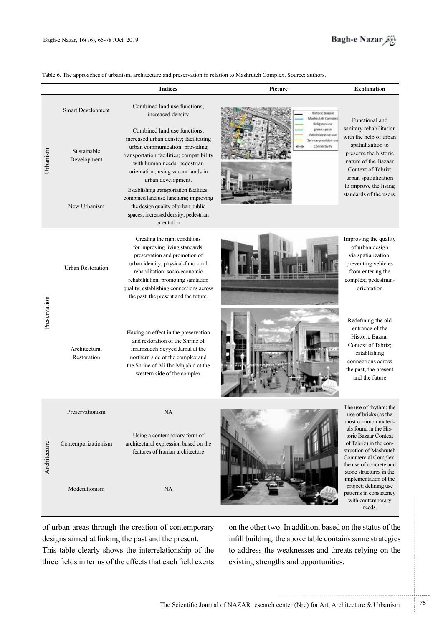

Table 6. The approaches of urbanism, architecture and preservation in relation to Mashruteh Complex. Source: authors.

|              |                                                                 | <b>Indices</b>                                                                                                                                                                                                                                                                                                                                                                                                                                                                          | Picture                                                                                                                                     | <b>Explanation</b>                                                                                                                                                                                                                          |
|--------------|-----------------------------------------------------------------|-----------------------------------------------------------------------------------------------------------------------------------------------------------------------------------------------------------------------------------------------------------------------------------------------------------------------------------------------------------------------------------------------------------------------------------------------------------------------------------------|---------------------------------------------------------------------------------------------------------------------------------------------|---------------------------------------------------------------------------------------------------------------------------------------------------------------------------------------------------------------------------------------------|
| Urbanism     | Smart Development<br>Sustainable<br>Development<br>New Urbanism | Combined land use functions;<br>increased density<br>Combined land use functions;<br>increased urban density; facilitating<br>urban communication; providing<br>transportation facilities; compatibility<br>with human needs; pedestrian<br>orientation; using vacant lands in<br>urban development.<br>Establishing transportation facilities;<br>combined land use functions; improving<br>the design quality of urban public<br>spaces; increased density; pedestrian<br>orientation | <b>Historic Bazaar</b><br>Mashruteh Complex<br>Religious use.<br>green space<br>Administrative use<br>lervice-provision use<br>Connectivity | Functional and<br>sanitary rehabilitation<br>with the help of urban<br>spatialization to<br>preserve the historic<br>nature of the Bazaar<br>Context of Tabriz;<br>urban spatialization<br>to improve the living<br>standards of the users. |
| Preservation | <b>Urban Restoration</b>                                        | Creating the right conditions<br>for improving living standards;<br>preservation and promotion of<br>urban identity; physical-functional<br>rehabilitation; socio-economic<br>rehabilitation; promoting sanitation<br>quality; establishing connections across<br>the past, the present and the future.                                                                                                                                                                                 |                                                                                                                                             | Improving the quality<br>of urban design<br>via spatialization;<br>preventing vehicles<br>from entering the<br>complex; pedestrian-<br>orientation                                                                                          |
|              | Architectural<br>Restoration                                    | Having an effect in the preservation<br>and restoration of the Shrine of<br>Imamzadeh Seyyed Jamal at the<br>northern side of the complex and<br>the Shrine of Ali Ibn Mujahid at the<br>western side of the complex                                                                                                                                                                                                                                                                    |                                                                                                                                             | Redefining the old<br>entrance of the<br>Historic Bazaar<br>Context of Tabriz;<br>establishing<br>connections across<br>the past, the present<br>and the future                                                                             |
| Architecture | Preservationism<br>Contemporizationism                          | NA<br>Using a contemporary form of<br>architectural expression based on the<br>features of Iranian architecture                                                                                                                                                                                                                                                                                                                                                                         |                                                                                                                                             | The use of rhythm; the<br>use of bricks (as the<br>most common materi-<br>als found in the His-<br>toric Bazaar Context<br>of Tabriz) in the con-<br>struction of Mashruteh<br>Commercial Complex;<br>the use of concrete and               |
|              | Moderationism                                                   | NA                                                                                                                                                                                                                                                                                                                                                                                                                                                                                      |                                                                                                                                             | stone structures in the<br>implementation of the<br>project; defining use<br>patterns in consistency<br>with contemporary<br>needs.                                                                                                         |

of urban areas through the creation of contemporary designs aimed at linking the past and the present.

This table clearly shows the interrelationship of the three fields in terms of the effects that each field exerts on the other two. In addition, based on the status of the infill building, the above table contains some strategies to address the weaknesses and threats relying on the existing strengths and opportunities.

.......... ....... ........ ........... ...... ....... ........ .......... ...........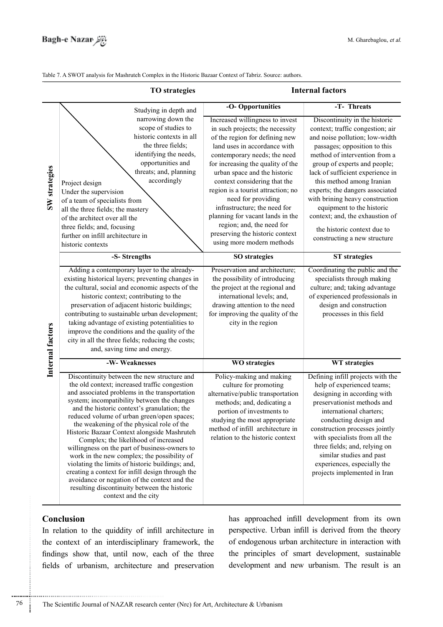Table 7. A SWOT analysis for Mashruteh Complex in the Historic Bazaar Context of Tabriz. Source: authors.

|                  | <b>TO</b> strategies                                                                                                                                                                                                                                                                                                                                                                                                                                                                                                                                                                                                                                                                                                                                          |                                                                                                                                                                                                                                                                                                                                                                                                                                                                                                        | <b>Internal factors</b>                                                                                                                                                                                                                                                                                                                                                                                                                                                    |
|------------------|---------------------------------------------------------------------------------------------------------------------------------------------------------------------------------------------------------------------------------------------------------------------------------------------------------------------------------------------------------------------------------------------------------------------------------------------------------------------------------------------------------------------------------------------------------------------------------------------------------------------------------------------------------------------------------------------------------------------------------------------------------------|--------------------------------------------------------------------------------------------------------------------------------------------------------------------------------------------------------------------------------------------------------------------------------------------------------------------------------------------------------------------------------------------------------------------------------------------------------------------------------------------------------|----------------------------------------------------------------------------------------------------------------------------------------------------------------------------------------------------------------------------------------------------------------------------------------------------------------------------------------------------------------------------------------------------------------------------------------------------------------------------|
|                  | Studying in depth and                                                                                                                                                                                                                                                                                                                                                                                                                                                                                                                                                                                                                                                                                                                                         | -O-Opportunities                                                                                                                                                                                                                                                                                                                                                                                                                                                                                       | -T- Threats                                                                                                                                                                                                                                                                                                                                                                                                                                                                |
| SW strategies    | narrowing down the<br>scope of studies to<br>historic contexts in all<br>the three fields;<br>identifying the needs,<br>opportunities and<br>threats; and, planning<br>accordingly<br>Project design<br>Under the supervision<br>of a team of specialists from<br>all the three fields; the mastery<br>of the architect over all the<br>three fields; and, focusing<br>further on infill architecture in<br>historic contexts                                                                                                                                                                                                                                                                                                                                 | Increased willingness to invest<br>in such projects; the necessity<br>of the region for defining new<br>land uses in accordance with<br>contemporary needs; the need<br>for increasing the quality of the<br>urban space and the historic<br>context considering that the<br>region is a tourist attraction; no<br>need for providing<br>infrastructure; the need for<br>planning for vacant lands in the<br>region; and, the need for<br>preserving the historic context<br>using more modern methods | Discontinuity in the historic<br>context; traffic congestion; air<br>and noise pollution; low-width<br>passages; opposition to this<br>method of intervention from a<br>group of experts and people;<br>lack of sufficient experience in<br>this method among Iranian<br>experts; the dangers associated<br>with brining heavy construction<br>equipment to the historic<br>context; and, the exhaustion of<br>the historic context due to<br>constructing a new structure |
|                  | -S-Strengths                                                                                                                                                                                                                                                                                                                                                                                                                                                                                                                                                                                                                                                                                                                                                  | <b>SO</b> strategies                                                                                                                                                                                                                                                                                                                                                                                                                                                                                   | <b>ST</b> strategies                                                                                                                                                                                                                                                                                                                                                                                                                                                       |
| Internal factors | Adding a contemporary layer to the already-<br>existing historical layers; preventing changes in<br>the cultural, social and economic aspects of the<br>historic context; contributing to the<br>preservation of adjacent historic buildings;<br>contributing to sustainable urban development;<br>taking advantage of existing potentialities to<br>improve the conditions and the quality of the<br>city in all the three fields; reducing the costs;<br>and, saving time and energy.                                                                                                                                                                                                                                                                       | Preservation and architecture;<br>the possibility of introducing<br>the project at the regional and<br>international levels; and,<br>drawing attention to the need<br>for improving the quality of the<br>city in the region                                                                                                                                                                                                                                                                           | Coordinating the public and the<br>specialists through making<br>culture; and; taking advantage<br>of experienced professionals in<br>design and construction<br>processes in this field                                                                                                                                                                                                                                                                                   |
|                  | -W-Weaknesses                                                                                                                                                                                                                                                                                                                                                                                                                                                                                                                                                                                                                                                                                                                                                 | <b>WO</b> strategies                                                                                                                                                                                                                                                                                                                                                                                                                                                                                   | WT strategies                                                                                                                                                                                                                                                                                                                                                                                                                                                              |
|                  | Discontinuity between the new structure and<br>the old context; increased traffic congestion<br>and associated problems in the transportation<br>system; incompatibility between the changes<br>and the historic context's granulation; the<br>reduced volume of urban green/open spaces;<br>the weakening of the physical role of the<br>Historic Bazaar Context alongside Mashruteh<br>Complex; the likelihood of increased<br>willingness on the part of business-owners to<br>work in the new complex; the possibility of<br>violating the limits of historic buildings; and,<br>creating a context for infill design through the<br>avoidance or negation of the context and the<br>resulting discontinuity between the historic<br>context and the city | Policy-making and making<br>culture for promoting<br>alternative/public transportation<br>methods; and, dedicating a<br>portion of investments to<br>studying the most appropriate<br>method of infill architecture in<br>relation to the historic context                                                                                                                                                                                                                                             | Defining infill projects with the<br>help of experienced teams;<br>designing in according with<br>preservationist methods and<br>international charters;<br>conducting design and<br>construction processes jointly<br>with specialists from all the<br>three fields; and, relying on<br>similar studies and past<br>experiences, especially the<br>projects implemented in Iran                                                                                           |

# **Conclusion**

............................................................

In relation to the quiddity of infill architecture in the context of an interdisciplinary framework, the findings show that, until now, each of the three fields of urbanism, architecture and preservation has approached infill development from its own perspective. Urban infill is derived from the theory of endogenous urban architecture in interaction with the principles of smart development, sustainable development and new urbanism. The result is an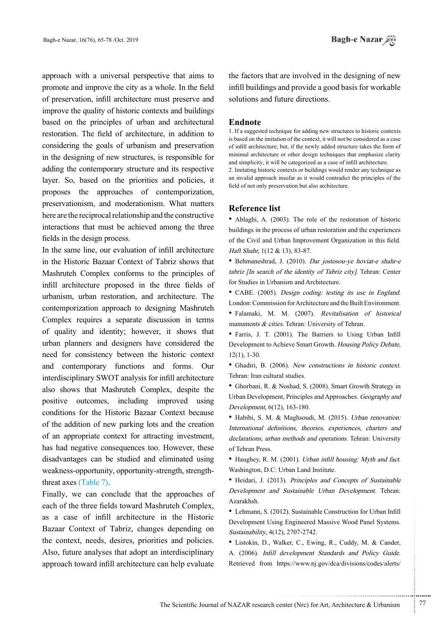approach with a universal perspective that aims to promote and improve the city as a whole. In the field of preservation, infill architecture must preserve and improve the quality of historic contexts and buildings based on the principles of urban and architectural restoration. The field of architecture, in addition to considering the goals of urbanism and preservation in the designing of new structures, is responsible for adding the contemporary structure and its respective layer. So, based on the priorities and policies, it proposes the approaches of contemporization, preservationism, and moderationism. What matters here are the reciprocal relationship and the constructive interactions that must be achieved among the three fields in the design process.

In the same line, our evaluation of infill architecture in the Historic Bazaar Context of Tabriz shows that Mashruteh Complex conforms to the principles of infill architecture proposed in the three fields of urbanism, urban restoration, and architecture. The contemporization approach to designing Mashruteh Complex requires a separate discussion in terms of quality and identity; however, it shows that urban planners and designers have considered the need for consistency between the historic context and contemporary functions and forms. Our interdisciplinary SWOT analysis for infill architecture also shows that Mashruteh Complex, despite the positive outcomes, including improved using conditions for the Historic Bazaar Context because of the addition of new parking lots and the creation of an appropriate context for attracting investment, has had negative consequences too. However, these disadvantages can be studied and eliminated using weakness-opportunity, opportunity-strength, strength-<br>threat axes (Table 7).

Finally, we can conclude that the approaches of each of the three fields toward Mashruteh Complex, as a case of infill architecture in the Historic Bazaar Context of Tabriz, changes depending on the context, needs, desires, priorities and policies. Also, future analyses that adopt an interdisciplinary approach toward infill architecture can help evaluate

the factors that are involved in the designing of new infill buildings and provide a good basis for workable solutions and future directions.

#### **Endnote**

1. If a suggested technique for adding new structures to historic contexts is based on the imitation of the context, it will not be considered as a case of infill architecture; but, if the newly added structure takes the form of minimal architecture or other design techniques that emphasize clarity and simplicity, it will be categorized as a case of infill architecture. 2. Imitating historic contexts or buildings would render any technique as

an invalid approach insofar as it would contradict the principles of the field of not only preservation but also architecture.

#### **Reference** list

• Ablaghi, A. (2003). The role of the restoration of historic buildings in the process of urban restoration and the experiences of the Civil and Urban Improvement Organization in this field. Haft Shahr, 1(12 & 13), 83-87.

• Behmaneshrad, J. (2010). Dar jostosou-ye hoviat-e shahr-e tabriz [In search of the identity of Tabriz city]. Tehran: Center for Studies in Urbanism and Architecture.

• CABE. (2005). Design coding: testing its use in England. London: Commission for Architecture and the Built Environment. • Falamaki, M. M. (2007). Revitalisation of historical manuments  $\&$  cities. Tehran: University of Tehran.

• Farris, J. T. (2001). The Barriers to Using Urban Infill Development to Achieve Smart Growth. Housing Policy Debate,  $12(1)$ , 1-30.

• Ghadiri, B. (2006). New constructions in historic context. Tehran: Iran cultural studies.

• Ghorbani, R. & Noshad, S. (2008). Smart Growth Strategy in Urban Development, Principles and Approaches. Geography and Development, 6(12), 163-180.

• Habibi, S. M. & Maghsoudi, M. (2015). *Urban renovation:* International definitions, theories, experiences, charters and declarations, urban methods and operations. Tehran: University of Tehran Press.

• Haughey, R. M. (2001). *Urban infill housing: Myth and fact.* Washington, D.C. Urban Land Institute.

• Heidari, J. (2013). Principles and Concepts of Sustainable Development and Sustainable Urban Development. Tehran: .Azarakhsh

• Lehmann, S. (2012). Sustainable Construction for Urban Infill Development Using Engineered Massive Wood Panel Systems. Sustainability, 4(12), 2707-2742.

• Listokin, D., Walker, C., Ewing, R., Cuddy, M. & Cander, A. (2006). Infill development Standards and Policy Guide. Retrieved from https://www.nj.gov/dca/divisions/codes/alerts/

.......... ....... ........ ........... ...... ....... ........ .......... ...........